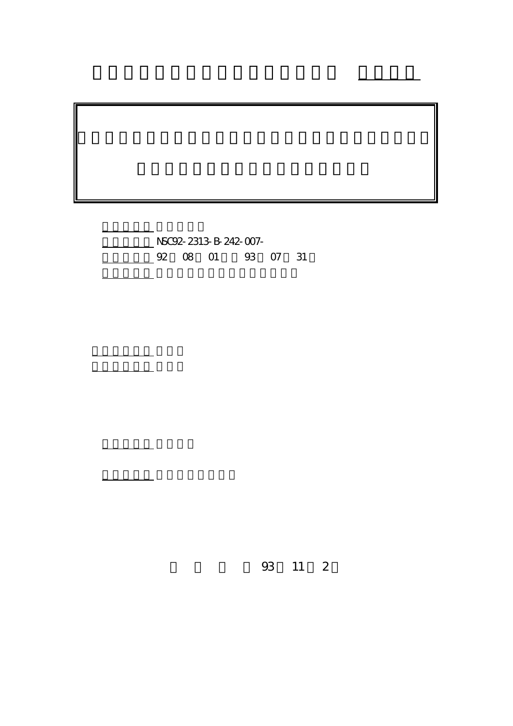計畫編號: NSC92-2313-B-242-007- 02 08 01 93 07 31

執行單位: 輔英科技大學環境工程與科學系

計畫主持人: 林國雄 <u> 대학 대학 대학 대학</u>

報告類型: 精簡報告

。<br>在前書 : 本計畫可公開查詢

行政院國家科學委員會專題研究計畫 成果報告

93 11 2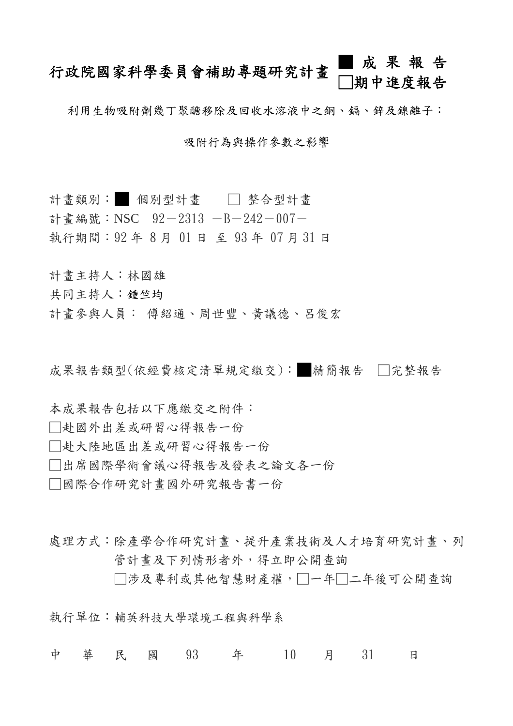# 行政院國家科學委員會補助專題研究計畫 ■ 成 果 報 告 期中進度報告

利用生物吸附劑幾丁聚醣移除及回收水溶液中之銅、鎬、鋅及鎳離子:

吸附行為與操作參數之影響

計書類別: 個別型計書 □ 整合型計書 計畫編號: NSC 92-2313 -B-242-007-執行期間:92 年 8 月 01 日 至 93 年 07 月 31 日

計畫主持人:林國雄

共同主持人:鍾竺均

計畫參與人員: 傅紹通、周世豐、黃議德、呂俊宏

成果報告類型(依經費核定清單規定繳交):■精簡報告 □完整報告

本成果報告包括以下應繳交之附件:

- □赴國外出差或研習心得報告一份
- □赴大陸地區出差或研習心得報告一份
- □出席國際學術會議心得報告及發表之論文各一份

□國際合作研究計畫國外研究報告書一份

處理方式:除產學合作研究計書、提升產業技術及人才培育研究計書、列 管計畫及下列情形者外,得立即公開查詢 □涉及專利或其他智慧財產權,□一年□二年後可公開查詢

執行單位:輔英科技大學環境工程與科學系

中 華 民 國 93 年 10 月 31 日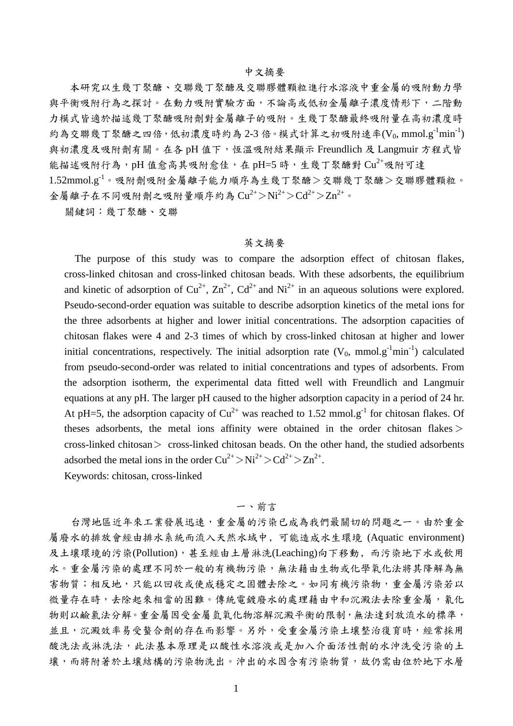#### 中文摘要

本研究以生幾丁聚醣、交聯幾丁聚醣及交聯膠體顆粒進行水溶液中重金屬的吸附動力學 與平衡吸附行為之探討。在動力吸附實驗方面,不論高或低初金屬離子濃度情形下,二階動 力模式皆適於描述幾丁聚醣吸附劑對金屬離子的吸附。生幾丁聚醣最終吸附量在高初濃度時 約為交聯幾丁聚醣之四倍,低初濃度時約為 2-3 倍。模式計算之初吸附速率(Vo, mmol.g<sup>-1</sup>min<sup>-1</sup>) 與初濃度及吸附劑有關。在各 pH 值下,恆溫吸附結果顯示 Freundlich 及 Langmuir 方程式皆 能描述吸附行為,pH 值愈高其吸附愈佳,在 pH=5 時,生幾丁聚醣對 Cu<sup>2+</sup>吸附可達 1.52mmol.g-1。吸附劑吸附金屬離子能力順序為生幾丁聚醣>交聯幾丁聚醣>交聯膠體顆粒。 金屬離子在不同吸附劑之吸附量順序約為 $Cu^{2+}$ > $Ni^{2+}$ > $Cd^{2+}$ > $Zn^{2+}$ 。

關鍵詞:幾丁聚醣、交聯

#### 英文摘要

The purpose of this study was to compare the adsorption effect of chitosan flakes, cross-linked chitosan and cross-linked chitosan beads. With these adsorbents, the equilibrium and kinetic of adsorption of  $Cu^{2+}$ ,  $Zn^{2+}$ ,  $Cd^{2+}$  and  $Ni^{2+}$  in an aqueous solutions were explored. Pseudo-second-order equation was suitable to describe adsorption kinetics of the metal ions for the three adsorbents at higher and lower initial concentrations. The adsorption capacities of chitosan flakes were 4 and 2-3 times of which by cross-linked chitosan at higher and lower initial concentrations, respectively. The initial adsorption rate  $(V_0, \text{ mmol.g}^{-1} \text{min}^{-1})$  calculated from pseudo-second-order was related to initial concentrations and types of adsorbents. From the adsorption isotherm, the experimental data fitted well with Freundlich and Langmuir equations at any pH. The larger pH caused to the higher adsorption capacity in a period of 24 hr. At pH=5, the adsorption capacity of  $Cu^{2+}$  was reached to 1.52 mmol.g<sup>-1</sup> for chitosan flakes. Of theses adsorbents, the metal ions affinity were obtained in the order chitosan flakes  $>$  $\cos$ -linked chitosan $>$  cross-linked chitosan beads. On the other hand, the studied adsorbents adsorbed the metal ions in the order  $Cu^{2+} > Ni^{2+} > Cd^{2+} > Zn^{2+}$ . Keywords: chitosan, cross-linked

## 一、前言

台灣地區近年來工業發展迅速,重金屬的污染已成為我們最關切的問題之一。由於重金 屬廢水的排放會經由排水系統而流入天然水域中﹐可能造成水生環境 (Aquatic environment) 及土壤環境的污染(Pollution),甚至經由土層淋洗(Leaching)向下移動﹐而污染地下水或飲用 水。重金屬污染的處理不同於一般的有機物污染,無法藉由生物或化學氧化法將其降解為無 害物質;相反地,只能以回收或使成穩定之固體去除之。如同有機污染物,重金屬污染若以 微量存在時,去除起來相當的困難。傳統電鍍廢水的處理藉由中和沉澱法去除重金屬,氰化 物則以鹼氯法分解。重金屬因受金屬氫氧化物溶解沉澱平衡的限制,無法達到放流水的標準, 並且,沉澱效率易受螯合劑的存在而影響。另外,受重金屬污染土壤整治復育時,經常採用 酸洗法或淋洗法,此法基本原理是以酸性水溶液或是加入介面活性劑的水沖洗受污染的土 壤,而將附著於土壤結構的污染物洗出。沖出的水因含有污染物質,故仍需由位於地下水層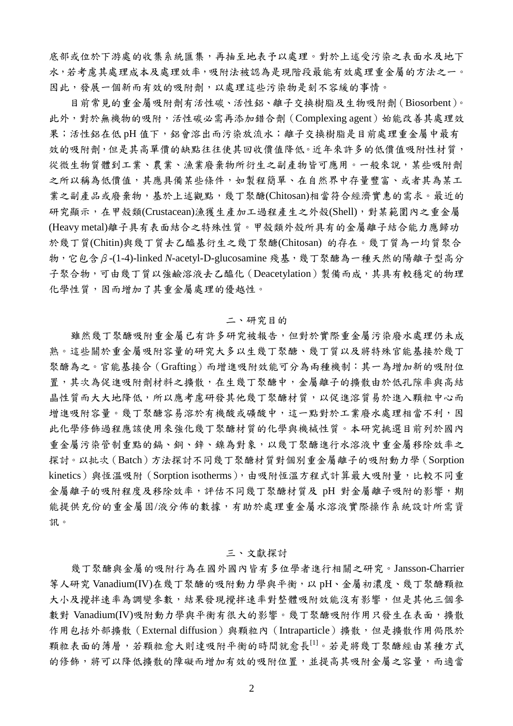底部或位於下游處的收集系統匯集,再抽至地表予以處理。對於上述受污染之表面水及地下 水,若考慮其處理成本及處理效率,吸附法被認為是現階段最能有效處理重金屬的方法之一。 因此,發展一個新而有效的吸附劑,以處理這些污染物是刻不容緩的事情。

目前常見的重金屬吸附劑有活性碳、活性鋁、離子交換樹脂及生物吸附劑(Biosorbent)。 此外,對於無機物的吸附,活性碳必需再添加錯合劑(Complexing agent)始能改善其處理效 果;活性鋁在低 pH 值下, 鋁會溶出而污染放流水;離子交換樹脂是目前處理重金屬中最有 效的吸附劑,但是其高單價的缺點往往使其回收價值降低。近年來許多的低價值吸附性材質, 從微生物質體到工業、農業、漁業廢棄物所衍生之副產物皆可應用。一般來說,某些吸附劑 之所以稱為低價值,其應具備某些條件,如製程簡單、在自然界中存量豐富、或者其為某工 業之副產品或廢棄物,基於上述觀點,幾丁聚醣(Chitosan)相當符合經濟實惠的需求。最近的 研究顯示,在甲殼類(Crustacean)漁獲生產加工過程產生之外殼(Shell),對某範圍內之重金屬 (Heavy metal)離子具有表面結合之特殊性質。甲殼類外殼所具有的金屬離子結合能力應歸功 於幾丁質(Chitin)與幾丁質去乙醯基衍生之幾丁聚醣(Chitosan) 的存在。幾丁質為一均質聚合 物,它包含β-(1-4)-linked *N*-acetyl-D-glucosamine 殘基,幾丁聚醣為一種天然的陽離子型高分 子聚合物,可由幾丁質以強鹼溶液去乙醯化(Deacetylation)製備而成,其具有較穩定的物理 化學性質,因而增加了其重金屬處理的優越性。

#### 二、研究目的

雖然幾丁聚醣吸附重金屬已有許多研究被報告,但對於實際重金屬污染廢水處理仍未成 熟。這些關於重金屬吸附容量的研究大多以生幾丁聚醣、幾丁質以及將特殊官能基接於幾丁 聚醣為之。官能基接合(Grafting)而增進吸附效能可分為兩種機制:其一為增加新的吸附位 置,其次為促進吸附劑材料之擴散,在生幾丁聚醣中,金屬離子的擴散由於低孔隙率與高結 晶性質而大大地降低,所以應考慮研發其他幾丁聚醣材質,以促進溶質易於進入顆粒中心而 增進吸附容量。幾丁聚醣容易溶於有機酸或礦酸中,這一點對於工業廢水處理相當不利,因 此化學修飾過程應該使用來強化幾丁聚醣材質的化學與機械性質。本研究挑選目前列於國內 重金屬污染管制重點的鎘、銅、鋅、鎳為對象,以幾丁聚醣進行水溶液中重金屬移除效率之 探討。以批次(Batch)方法探討不同幾丁聚醣材質對個別重金屬離子的吸附動力學(Sorption kinetics)與恆溫吸附 (Sorption isotherms),由吸附恆溫方程式計算最大吸附量,比較不同重 金屬離子的吸附程度及移除效率,評估不同幾丁聚醣材質及 pH 對金屬離子吸附的影響,期 能提供充份的重金屬固/液分佈的數據,有助於處理重金屬水溶液實際操作系統設計所需資 訊。

#### 三、文獻探討

幾丁聚醣與金屬的吸附行為在國外國內皆有多位學者進行相關之研究。Jansson-Charrier 等人研究 Vanadium(IV)在幾丁聚醣的吸附動力學與平衡,以 pH、金屬初濃度、幾丁聚醣顆粒 大小及攪拌速率為調變參數,結果發現攪拌速率對整體吸附效能沒有影響,但是其他三個參 數對 Vanadium(IV)吸附動力學與平衡有很大的影響。幾丁聚醣吸附作用只發生在表面,擴散 作用包括外部擴散(External diffusion)與顆粒內 (Intraparticle)擴散,但是擴散作用侷限於 顆粒表面的薄層,若顆粒愈大則達吸附平衡的時間就愈長[1]。若是將幾丁聚醣經由某種方式 的修飾,將可以降低擴散的障礙而增加有效的吸附位置,並提高其吸附金屬之容量,而適當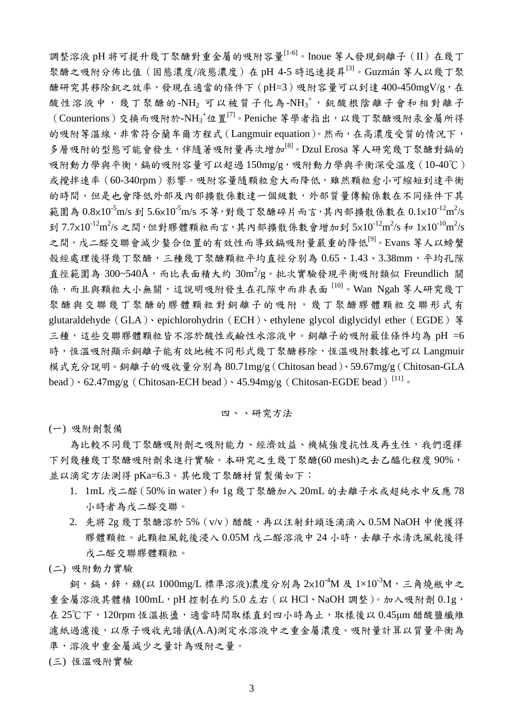調整溶液 pH 將可提升幾丁聚醣對重金屬的吸附容量[1-6]。Inoue 等人發現銅離子(II)在幾丁 聚醣之吸附分佈比值(固態濃度/液態濃度)在 pH 4-5 時迅速提昇[3]。Guzmán 等人以幾丁聚 醣研究其移除釩之效率,發現在適當的條件下(pH=3)吸附容量可以到達400-450mgV/g,在 酸性溶液中,幾丁聚醣的-NH2 可以被質子化為-NH3<sup>+</sup>, 釩酸根陰離子會和相對離子  $\sim$  (Counterions) 交換而吸附於-NH<sub>3</sub>+位置<br/>[7]。Peniche 等學者指出,以幾丁聚醣吸附汞金屬所得 的吸附等溫線,非常符合蘭牟爾方程式(Langmuir equation)。然而,在高濃度受質的情況下, 多層吸附的型態可能會發生,伴隨著吸附量再次增加<sup>[8]</sup>。Dzul Erosa 等人研究幾丁聚醣對鎘的 吸附動力學與平衡, 鎘的吸附容量可以超過 150mg/g, 吸附動力學與平衡深受溫度 (10-40℃) 或攪拌速率(60-340rpm)影響。吸附容量隨顆粒愈大而降低,雖然顆粒愈小可縮短到達平衡 的時間,但是也會降低外部及內部擴散係數達一個級數,外部質量傳輸係數在不同條件下其 範圍為  $0.8 \times 10^{-5}$ m/s 到 5.6 $\times 10^{-5}$ m/s 不等,對幾丁聚醣碎片而言,其內部擴散係數在  $0.1 \times 10^{-12}$ m<sup>2</sup>/s 到 7.7×10<sup>-12</sup>m<sup>2</sup>/s 之間,但對膠體顆粒而言,其內部擴散係數會增加到 5×10<sup>-12</sup>m<sup>2</sup>/s 和 1×10<sup>-10</sup>m<sup>2</sup>/s 之間,戊二醛交聯會減少螯合位置的有效性而導致鎘吸附量嚴重的降低<sup>[9]。</sup>Evans 等人以螃蟹 殼經處理後得幾丁聚醣,三種幾丁聚醣顆粒平均直徑分別為 0.65、1.43、3.38mm,平均孔隙 直徑範圍為 300~540Å,而比表面積大約  $30 \text{m}^2/\text{g} \circ \text{h} \cdot \text{x}$ 實驗發現平衡吸附類似 Freundlich 關 係,而且與顆粒大小無關,這說明吸附發生在孔隙中而非表面 [10]。Wan Ngah 等人研究幾丁 聚醣與交聯幾丁聚醣的膠體顆粒對銅離子的吸附,幾丁聚醣膠體顆粒交聯形式有 glutaraldehyde (GLA)、epichlorohydrin(ECH)、ethylene glycol diglycidyl ether(EGDE) 等 三種,這些交聯膠體顆粒皆不溶於酸性或鹼性水溶液中。銅離子的吸附最佳條件均為 pH =6 時,恆溫吸附顯示銅離子能有效地被不同形式幾丁聚醣移除,恆溫吸附數據也可以 Langmuir 模式充分說明。銅離子的吸收量分別為 80.71mg/g(Chitosan bead)、59.67mg/g(Chitosan-GLA bead)、62.47mg/g (Chitosan-ECH bead)、45.94mg/g (Chitosan-EGDE bead)<sup>[11]</sup>。

#### 四、、研究方法

(一) 吸附劑製備

為比較不同幾丁聚醣吸附劑之吸附能力、經濟效益、機械強度抗性及再生性,我們選擇 下列幾種幾丁聚醣吸附劑來進行實驗。本研究之生幾丁聚醣(60 mesh)之去乙醯化程度90%, 並以滴定方法測得 pKa=6.3。其他幾丁聚醣材質製備如下:

- 1. 1mL 戊二醛(50% in water)和 1g 幾丁聚醣加入 20mL 的去離子水或超純水中反應 78 小時者為戊二醛交聯。
- 2. 先將 2g 幾丁聚醣溶於 5% (v/v) 醋酸,再以注射針頭逐滴滴入 0.5M NaOH 中便獲得 膠體顆粒。此顆粒風乾後浸入 0.05M 戊二醛溶液中 24 小時,去離子水清洗風乾後得 戊二醛交聯膠體顆粒。
- (二) 吸附動力實驗

銅,鎘,鋅,鎳(以 1000mg/L 標準溶液)濃度分別為  $2 \times 10^{-4}$ M 及  $1 \times 10^{-3}$ M,三角燒瓶中之 重金屬溶液其體積  $100$ mL, pH 控制在約 5.0 左右 (以 HCl、NaOH 調整)。加入吸附劑  $0.1g$ , 在 25℃下, 120rpm 恆溫振盪,適當時間取樣直到四小時為止,取樣後以 0.45μm 醋酸鹽纖維 濾紙過濾後,以原子吸收光譜儀(A.A)測定水溶液中之重金屬濃度。吸附量計算以質量平衡為 準,溶液中重金屬減少之量計為吸附之量。

(三) 恆溫吸附實驗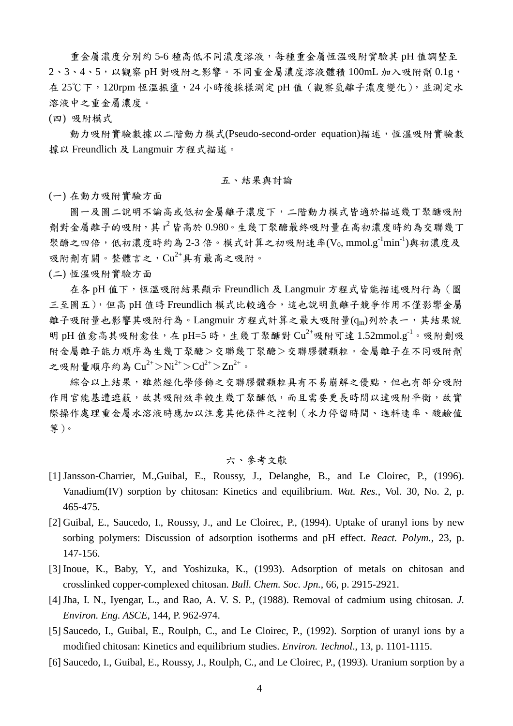重金屬濃度分別約 5-6 種高低不同濃度溶液,每種重金屬恆溫吸附實驗其 pH 值調整至 2、3、4、5,以觀察 pH 對吸附之影響。不同重金屬濃度溶液體積 100mL 加入吸附劑 0.1g, 在 25℃下,120rpm 恆溫振盪,24 小時後採樣測定 pH 值(觀察氫離子濃度變化),並測定水 溶液中之重金屬濃度。

(四) 吸附模式

動力吸附實驗數據以二階動力模式(Pseudo-second-order equation)描述,恆溫吸附實驗數 據以 Freundlich 及 Langmuir 方程式描述。

#### 五、結果與討論

(一) 在動力吸附實驗方面

圖一及圖二說明不論高或低初金屬離子濃度下,二階動力模式皆適於描述幾丁聚醣吸附 劑對金屬離子的吸附,其 r2皆高於 0.980。生幾丁聚醣最終吸附量在高初濃度時約為交聯幾丁 聚醣之四倍,低初濃度時約為 2-3 倍。模式計算之初吸附速率(Vo, mmol.g<sup>-1</sup>min<sup>-1</sup>)與初濃度及 吸附劑有關。整體言之, $Cu^{2+}$ 具有最高之吸附。

(二) 恆溫吸附實驗方面

在各 pH 值下,恆溫吸附結果顯示 Freundlich 及 Langmuir 方程式皆能描述吸附行為(圖 三至圖五),但高 pH 值時 Freundlich 模式比較適合,這也說明氫離子競爭作用不僅影響金屬 離子吸附量也影響其吸附行為。Langmuir 方程式計算之最大吸附量(qm)列於表一,其結果說 明 pH 值愈高其吸附愈佳,在 pH=5 時,生幾丁聚醣對  $Cu^{2+}$ 吸附可達 1.52mmol.g<sup>-1</sup>。吸附劑吸 附金屬離子能力順序為生幾丁聚醣>交聯幾丁聚醣>交聯膠體顆粒。金屬離子在不同吸附劑 之吸附量順序約為 $Cu^{2+}$ > $Ni^{2+}$ > $Cd^{2+}$ > $Zn^{2+}$ 。

綜合以上結果,雖然經化學修飾之交聯膠體顆粒具有不易崩解之優點,但也有部分吸附 作用官能基遭遮蔽,故其吸附效率較生幾丁聚醣低,而且需要更長時間以達吸附平衡,故實 際操作處理重金屬水溶液時應加以注意其他條件之控制(水力停留時間、進料速率、酸鹼值 等)。

### 六、參考文獻

- [1] Jansson-Charrier, M.,Guibal, E., Roussy, J., Delanghe, B., and Le Cloirec, P., (1996). Vanadium(IV) sorption by chitosan: Kinetics and equilibrium. *Wat. Res.*, Vol. 30, No. 2, p. 465-475.
- [2] Guibal, E., Saucedo, I., Roussy, J., and Le Cloirec, P., (1994). Uptake of uranyl ions by new sorbing polymers: Discussion of adsorption isotherms and pH effect. *React. Polym.*, 23, p. 147-156.
- [3] Inoue, K., Baby, Y., and Yoshizuka, K., (1993). Adsorption of metals on chitosan and crosslinked copper-complexed chitosan. *Bull. Chem. Soc. Jpn.*, 66, p. 2915-2921.
- [4] Jha, I. N., Iyengar, L., and Rao, A. V. S. P., (1988). Removal of cadmium using chitosan. *J. Environ. Eng. ASCE*, 144, P. 962-974.
- [5] Saucedo, I., Guibal, E., Roulph, C., and Le Cloirec, P., (1992). Sorption of uranyl ions by a modified chitosan: Kinetics and equilibrium studies. *Environ. Technol*., 13, p. 1101-1115.
- [6] Saucedo, I., Guibal, E., Roussy, J., Roulph, C., and Le Cloirec, P., (1993). Uranium sorption by a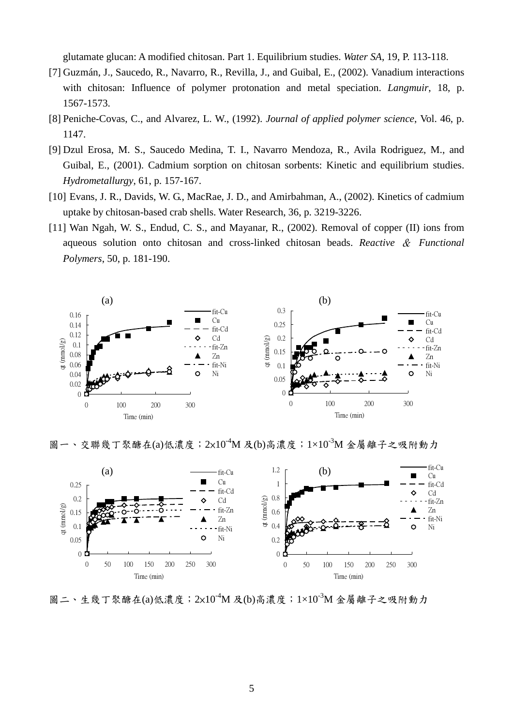glutamate glucan: A modified chitosan. Part 1. Equilibrium studies. *Water SA*, 19, P. 113-118.

- [7] Guzmán, J., Saucedo, R., Navarro, R., Revilla, J., and Guibal, E., (2002). Vanadium interactions with chitosan: Influence of polymer protonation and metal speciation. *Langmuir*, 18, p. 1567-1573.
- [8] Peniche-Covas, C., and Alvarez, L. W., (1992). *Journal of applied polymer science*, Vol. 46, p. 1147.
- [9] Dzul Erosa, M. S., Saucedo Medina, T. I., Navarro Mendoza, R., Avila Rodriguez, M., and Guibal, E., (2001). Cadmium sorption on chitosan sorbents: Kinetic and equilibrium studies. *Hydrometallurgy*, 61, p. 157-167.
- [10] Evans, J. R., Davids, W. G., MacRae, J. D., and Amirbahman, A., (2002). Kinetics of cadmium uptake by chitosan-based crab shells. Water Research, 36, p. 3219-3226.
- [11] Wan Ngah, W. S., Endud, C. S., and Mayanar, R., (2002). Removal of copper (II) ions from aqueous solution onto chitosan and cross-linked chitosan beads. *Reactive* & *Functional Polymers*, 50, p. 181-190.



圖一、交聯幾丁聚醣在(a)低濃度;2x10<sup>-4</sup>M 及(b)高濃度;1×10<sup>-3</sup>M 金屬離子之吸附動力



圖二、生幾丁聚醣在(a)低濃度;2x10<sup>-4</sup>M 及(b)高濃度;1×10<sup>-3</sup>M 金屬離子之吸附動力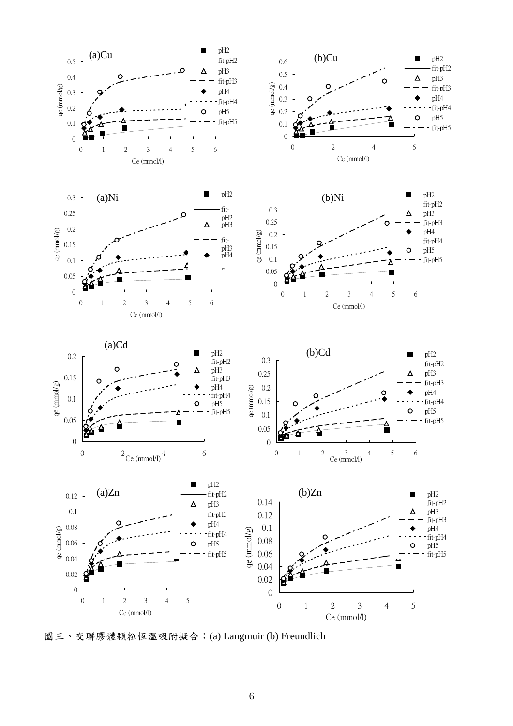

圖三、交聯膠體顆粒恆溫吸附擬合;(a) Langmuir (b) Freundlich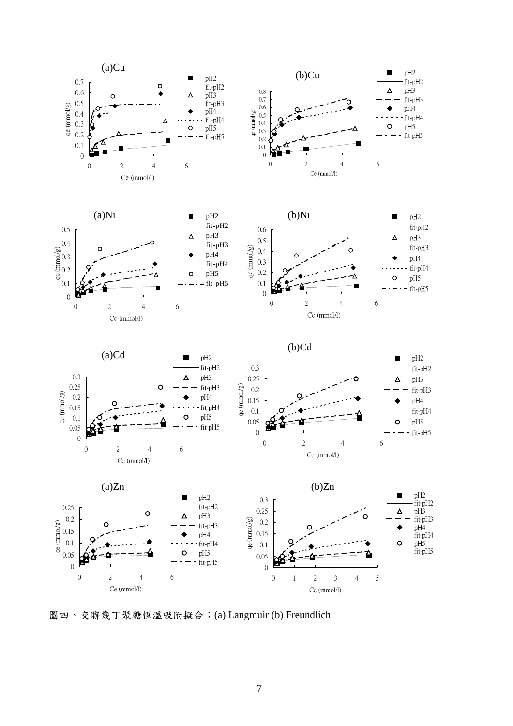

圖四、交聯幾丁聚醣恆溫吸附擬合;(a) Langmuir (b) Freundlich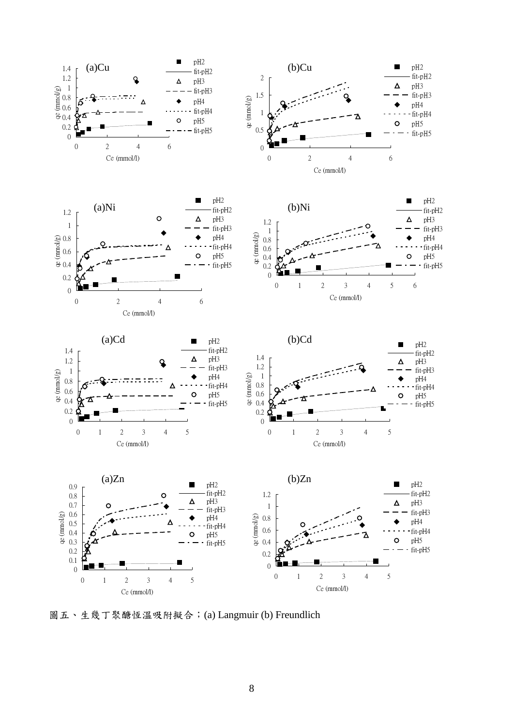

圖五、生幾丁聚醣恆溫吸附擬合;(a) Langmuir (b) Freundlich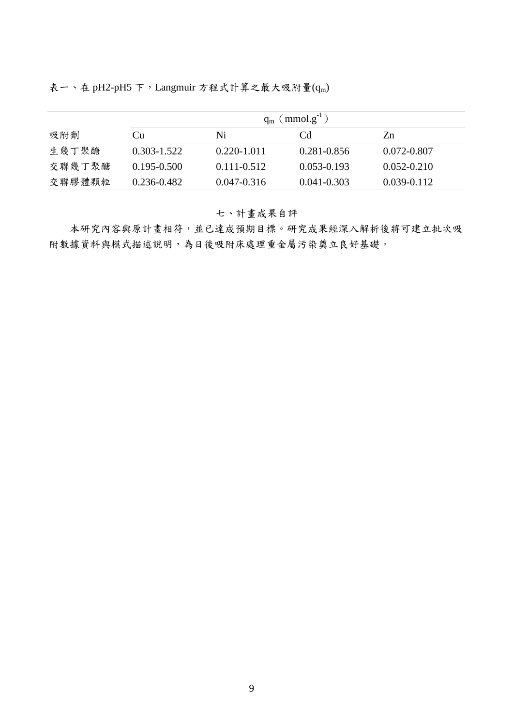表一、在 pH2-pH5 下, Langmuir 方程式計算之最大吸附量 $(q_m)$ 

|        | $q_m$ (mmol.g <sup>-1</sup> ) |                 |                 |                 |
|--------|-------------------------------|-----------------|-----------------|-----------------|
| 吸附劑    | Cu                            | Ni              | Cd              | Zn              |
| 生幾丁聚醣  | $0.303 - 1.522$               | $0.220 - 1.011$ | 0.281-0.856     | 0.072-0.807     |
| 交聯幾丁聚醣 | $0.195 - 0.500$               | $0.111 - 0.512$ | $0.053 - 0.193$ | $0.052 - 0.210$ |
| 交聯膠體顆粒 | $0.236 - 0.482$               | $0.047 - 0.316$ | $0.041 - 0.303$ | $0.039 - 0.112$ |

七、計畫成果自評

本研究內容與原計畫相符,並已達成預期目標。研究成果經深入解析後將可建立批次吸 附數據資料與模式描述說明,為日後吸附床處理重金屬污染奠立良好基礎。